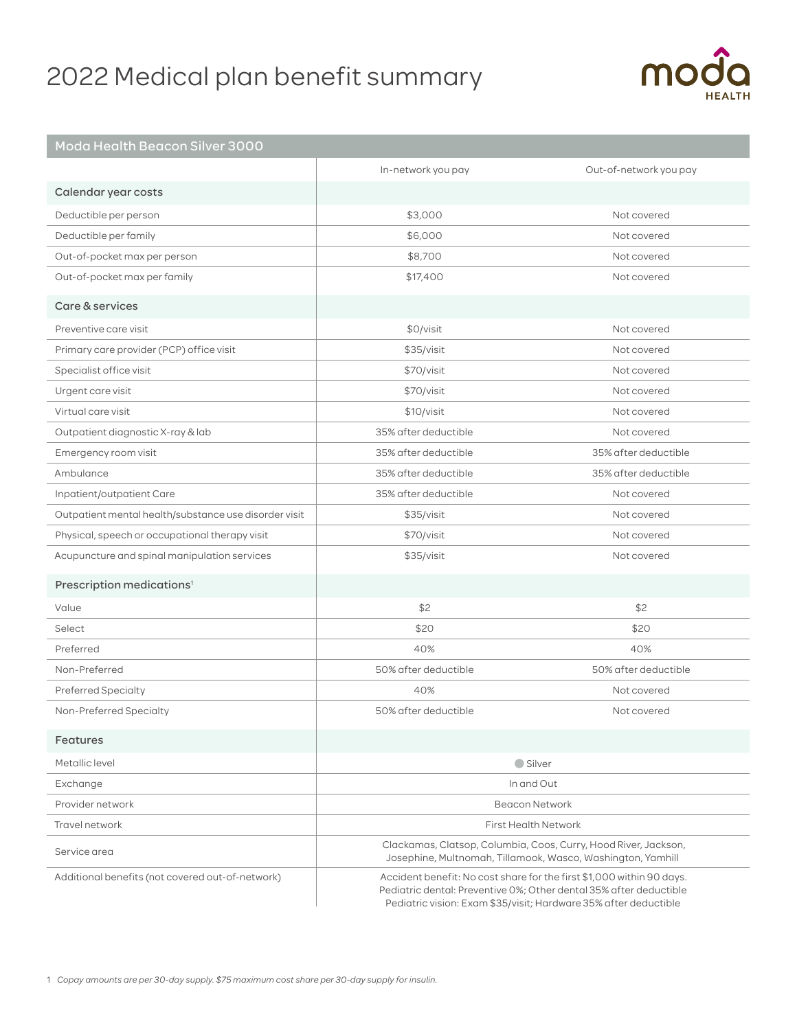# 2022 Medical plan benefit summary



## Moda Health Beacon Silver 3000

|                                                       | In-network you pay                                                                                                                                                                                              | Out-of-network you pay |
|-------------------------------------------------------|-----------------------------------------------------------------------------------------------------------------------------------------------------------------------------------------------------------------|------------------------|
| Calendar year costs                                   |                                                                                                                                                                                                                 |                        |
| Deductible per person                                 | \$3,000                                                                                                                                                                                                         | Not covered            |
| Deductible per family                                 | \$6,000                                                                                                                                                                                                         | Not covered            |
| Out-of-pocket max per person                          | \$8,700                                                                                                                                                                                                         | Not covered            |
| Out-of-pocket max per family                          | \$17,400                                                                                                                                                                                                        | Not covered            |
| Care & services                                       |                                                                                                                                                                                                                 |                        |
| Preventive care visit                                 | \$0/visit                                                                                                                                                                                                       | Not covered            |
| Primary care provider (PCP) office visit              | \$35/visit                                                                                                                                                                                                      | Not covered            |
| Specialist office visit                               | \$70/visit                                                                                                                                                                                                      | Not covered            |
| Urgent care visit                                     | \$70/visit                                                                                                                                                                                                      | Not covered            |
| Virtual care visit                                    | \$10/visit                                                                                                                                                                                                      | Not covered            |
| Outpatient diagnostic X-ray & lab                     | 35% after deductible                                                                                                                                                                                            | Not covered            |
| Emergency room visit                                  | 35% after deductible                                                                                                                                                                                            | 35% after deductible   |
| Ambulance                                             | 35% after deductible                                                                                                                                                                                            | 35% after deductible   |
| Inpatient/outpatient Care                             | 35% after deductible                                                                                                                                                                                            | Not covered            |
| Outpatient mental health/substance use disorder visit | \$35/visit                                                                                                                                                                                                      | Not covered            |
| Physical, speech or occupational therapy visit        | \$70/visit                                                                                                                                                                                                      | Not covered            |
| Acupuncture and spinal manipulation services          | \$35/visit                                                                                                                                                                                                      | Not covered            |
| Prescription medications <sup>1</sup>                 |                                                                                                                                                                                                                 |                        |
| Value                                                 | \$2                                                                                                                                                                                                             | \$2                    |
| Select                                                | \$20                                                                                                                                                                                                            | \$20                   |
| Preferred                                             | 40%                                                                                                                                                                                                             | 40%                    |
| Non-Preferred                                         | 50% after deductible                                                                                                                                                                                            | 50% after deductible   |
| Preferred Specialty                                   | 40%                                                                                                                                                                                                             | Not covered            |
| Non-Preferred Specialty                               | 50% after deductible                                                                                                                                                                                            | Not covered            |
| Features                                              |                                                                                                                                                                                                                 |                        |
| Metallic level                                        | Silver                                                                                                                                                                                                          |                        |
| Exchange                                              | In and Out                                                                                                                                                                                                      |                        |
| Provider network                                      | <b>Beacon Network</b>                                                                                                                                                                                           |                        |
| Travel network                                        | <b>First Health Network</b>                                                                                                                                                                                     |                        |
| Service area                                          | Clackamas, Clatsop, Columbia, Coos, Curry, Hood River, Jackson,<br>Josephine, Multnomah, Tillamook, Wasco, Washington, Yamhill                                                                                  |                        |
| Additional benefits (not covered out-of-network)      | Accident benefit: No cost share for the first \$1,000 within 90 days.<br>Pediatric dental: Preventive 0%; Other dental 35% after deductible<br>Pediatric vision: Exam \$35/visit; Hardware 35% after deductible |                        |